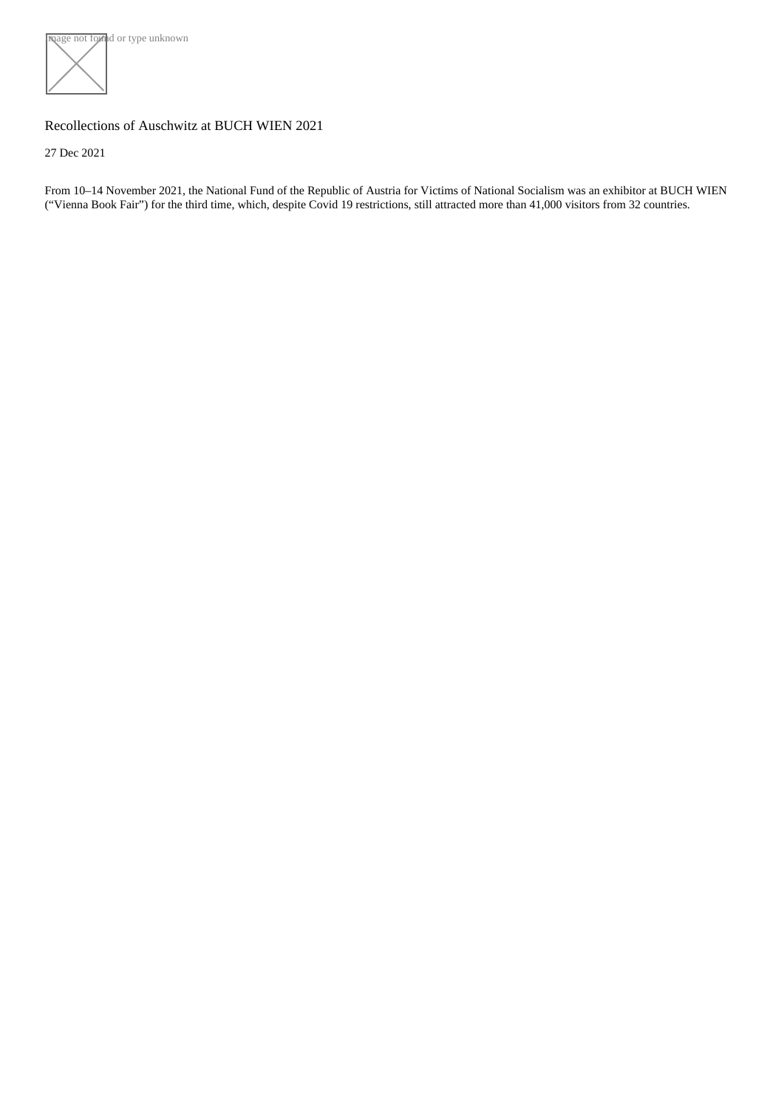**Rage not found or type unknown** 

## Recollections of Auschwitz at BUCH WIEN 2021

27 Dec 2021

From 10–14 November 2021, the National Fund of the Republic of Austria for Victims of National Socialism was an exhibitor at BUCH WIEN ("Vienna Book Fair") for the third time, which, despite Covid 19 restrictions, still attracted more than 41,000 visitors from 32 countries.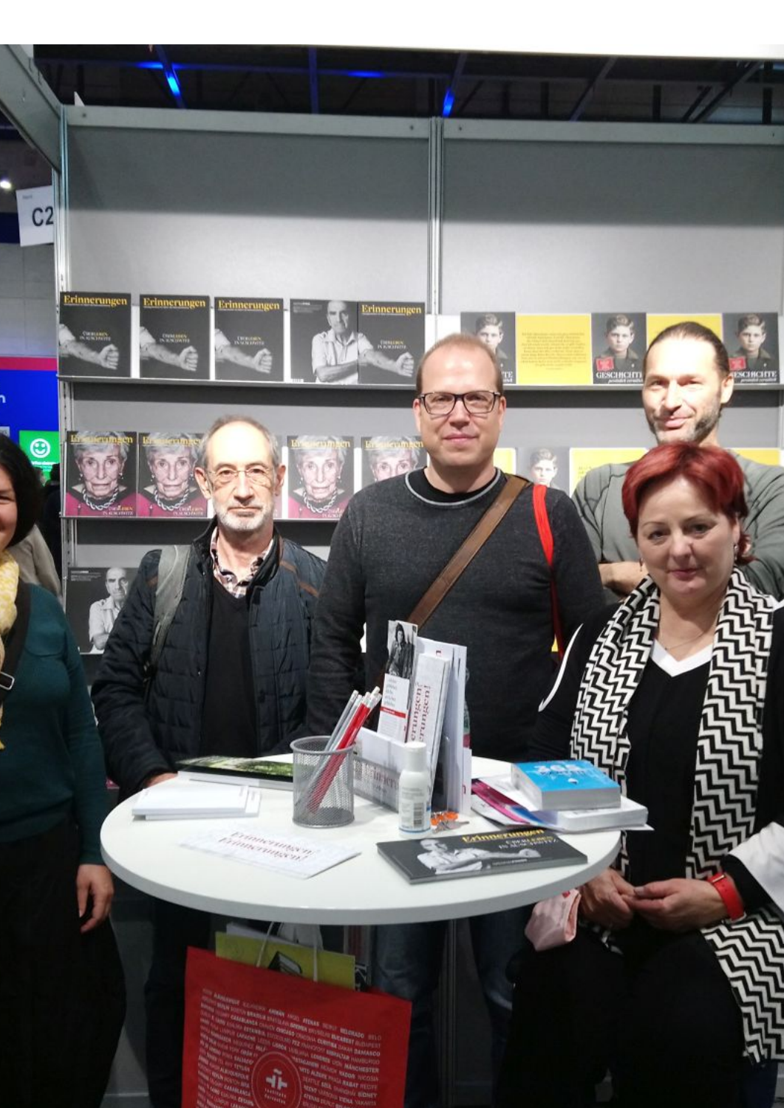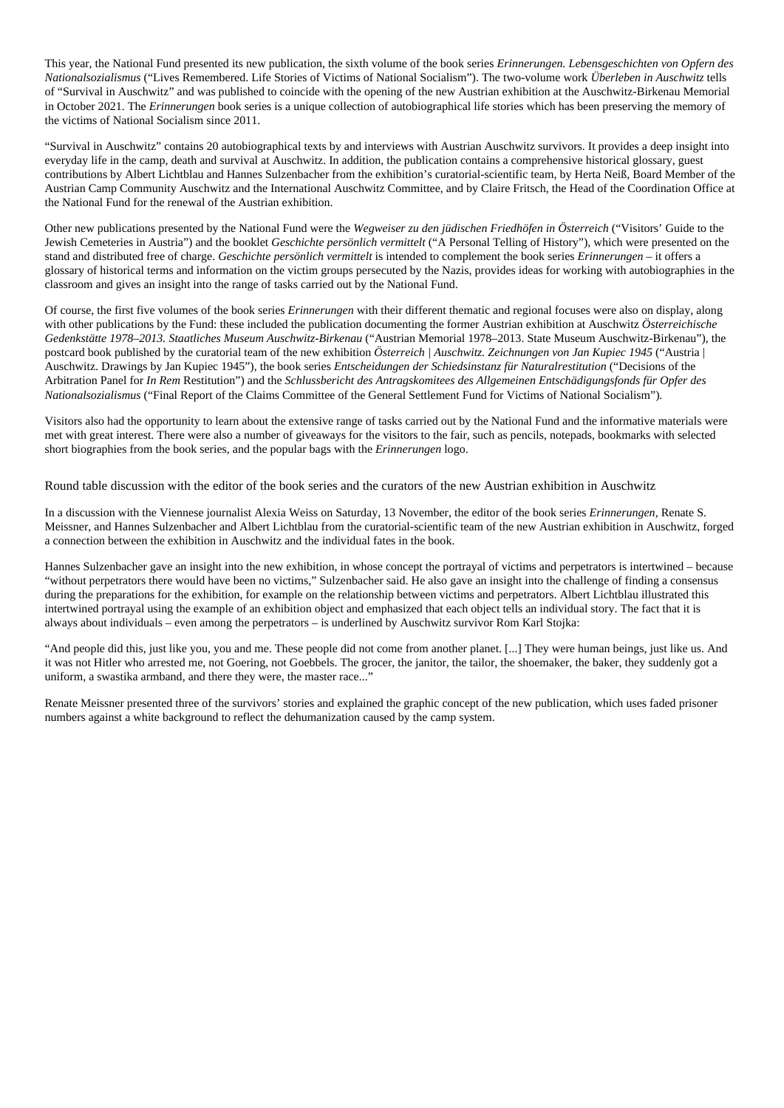This year, the National Fund presented its new publication, the sixth volume of the book series *Erinnerungen. Lebensgeschichten von Opfern des Nationalsozialismus* ("Lives Remembered. Life Stories of Victims of National Socialism"). The two-volume work *Überleben in Auschwitz* tells of "Survival in Auschwitz" and was published to coincide with the opening of the new Austrian exhibition at the Auschwitz-Birkenau Memorial in October 2021. The *Erinnerungen* book series is a unique collection of autobiographical life stories which has been preserving the memory of the victims of National Socialism since 2011.

"Survival in Auschwitz" contains 20 autobiographical texts by and interviews with Austrian Auschwitz survivors. It provides a deep insight into everyday life in the camp, death and survival at Auschwitz. In addition, the publication contains a comprehensive historical glossary, guest contributions by Albert Lichtblau and Hannes Sulzenbacher from the exhibition's curatorial-scientific team, by Herta Neiß, Board Member of the Austrian Camp Community Auschwitz and the International Auschwitz Committee, and by Claire Fritsch, the Head of the Coordination Office at the National Fund for the renewal of the Austrian exhibition.

Other new publications presented by the National Fund were the *Wegweiser zu den jüdischen Friedhöfen in Österreich* ("Visitors' Guide to the Jewish Cemeteries in Austria") and the booklet *Geschichte persönlich vermittelt* ("A Personal Telling of History"), which were presented on the stand and distributed free of charge. *Geschichte persönlich vermittelt* is intended to complement the book series *Erinnerungen* – it offers a glossary of historical terms and information on the victim groups persecuted by the Nazis, provides ideas for working with autobiographies in the classroom and gives an insight into the range of tasks carried out by the National Fund.

Of course, the first five volumes of the book series *Erinnerungen* with their different thematic and regional focuses were also on display, along with other publications by the Fund: these included the publication documenting the former Austrian exhibition at Auschwitz *Österreichische Gedenkstätte 1978–2013. Staatliches Museum Auschwitz-Birkenau* ("Austrian Memorial 1978–2013. State Museum Auschwitz-Birkenau"), the postcard book published by the curatorial team of the new exhibition *Österreich | Auschwitz. Zeichnungen von Jan Kupiec 1945* ("Austria | Auschwitz. Drawings by Jan Kupiec 1945"), the book series *Entscheidungen der Schiedsinstanz für Naturalrestitution* ("Decisions of the Arbitration Panel for *In Rem* Restitution") and the *Schlussbericht des Antragskomitees des Allgemeinen Entschädigungsfonds für Opfer des Nationalsozialismus* ("Final Report of the Claims Committee of the General Settlement Fund for Victims of National Socialism")*.*

Visitors also had the opportunity to learn about the extensive range of tasks carried out by the National Fund and the informative materials were met with great interest. There were also a number of giveaways for the visitors to the fair, such as pencils, notepads, bookmarks with selected short biographies from the book series, and the popular bags with the *Erinnerungen* logo.

Round table discussion with the editor of the book series and the curators of the new Austrian exhibition in Auschwitz

In a discussion with the Viennese journalist Alexia Weiss on Saturday, 13 November, the editor of the book series *Erinnerungen*, Renate S. Meissner, and Hannes Sulzenbacher and Albert Lichtblau from the curatorial-scientific team of the new Austrian exhibition in Auschwitz, forged a connection between the exhibition in Auschwitz and the individual fates in the book.

Hannes Sulzenbacher gave an insight into the new exhibition, in whose concept the portrayal of victims and perpetrators is intertwined – because "without perpetrators there would have been no victims," Sulzenbacher said. He also gave an insight into the challenge of finding a consensus during the preparations for the exhibition, for example on the relationship between victims and perpetrators. Albert Lichtblau illustrated this intertwined portrayal using the example of an exhibition object and emphasized that each object tells an individual story. The fact that it is always about individuals – even among the perpetrators – is underlined by Auschwitz survivor Rom Karl Stojka:

"And people did this, just like you, you and me. These people did not come from another planet. [...] They were human beings, just like us. And it was not Hitler who arrested me, not Goering, not Goebbels. The grocer, the janitor, the tailor, the shoemaker, the baker, they suddenly got a uniform, a swastika armband, and there they were, the master race..."

Renate Meissner presented three of the survivors' stories and explained the graphic concept of the new publication, which uses faded prisoner numbers against a white background to reflect the dehumanization caused by the camp system.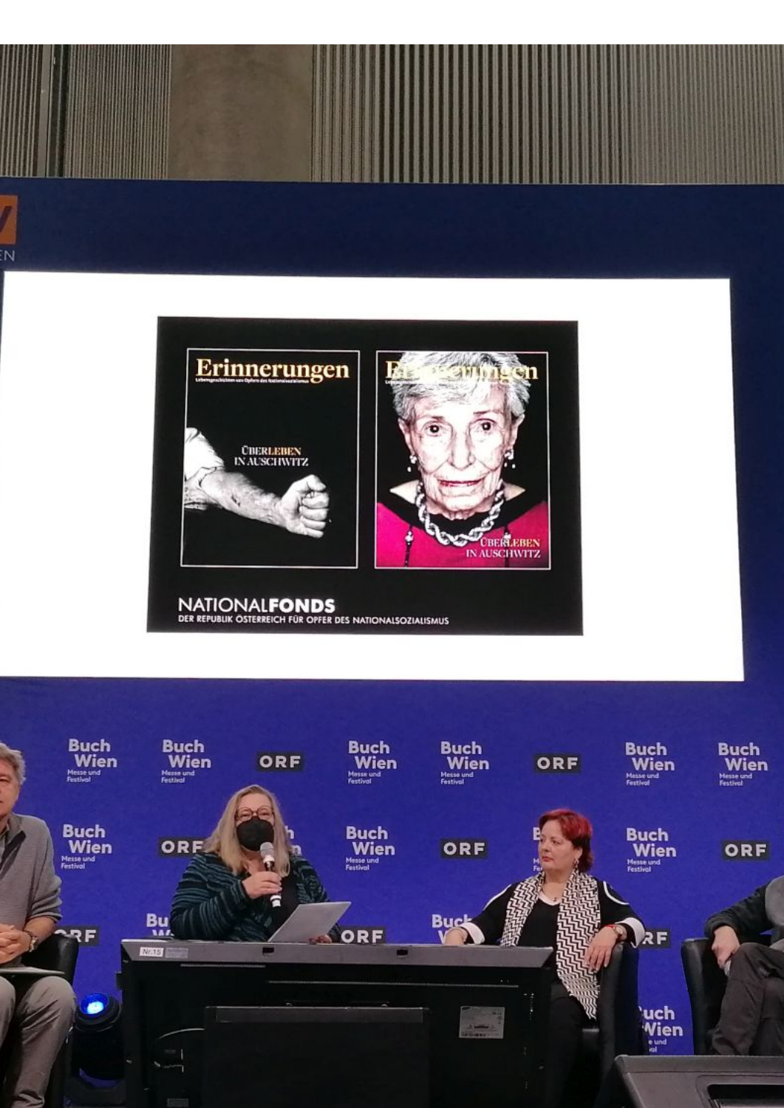

## NATIONAL **FONDS**<br>DER REPUBLIK OSTERREICH FÜR OPFER DES NATIONALSOZIALISMUS